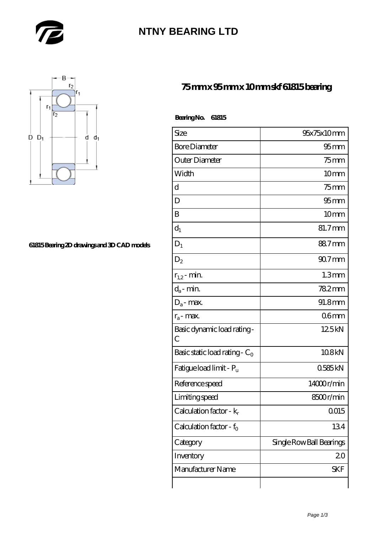

# **[NTNY BEARING LTD](https://m.abetteryeartoabetterlife.com)**



#### **[61815 Bearing 2D drawings and 3D CAD models](https://m.abetteryeartoabetterlife.com/pic-414307.html)**

### **[75 mm x 95 mm x 10 mm skf 61815 bearing](https://m.abetteryeartoabetterlife.com/skf-bearing/skf-61815/)**

| BearingNo. | 61815 |
|------------|-------|
|------------|-------|

| Size                                | 95x75x10mm               |
|-------------------------------------|--------------------------|
| <b>Bore Diameter</b>                | 95 <sub>mm</sub>         |
| Outer Diameter                      | $75$ mm                  |
| Width                               | 10mm                     |
| d                                   | $75$ mm                  |
| D                                   | 95 <sub>mm</sub>         |
| B                                   | 10 <sub>mm</sub>         |
| $d_1$                               | 81.7mm                   |
| $\mathbf{D}_1$                      | 88.7mm                   |
| $D_2$                               | $907$ mm                 |
| $r_{1,2}$ - min.                    | 1.3 <sub>mm</sub>        |
| $d_a$ - min.                        | 782mm                    |
| $D_a$ - max.                        | 91.8mm                   |
| $r_a$ - max.                        | 06mm                     |
| Basic dynamic load rating-<br>С     | 125kN                    |
| Basic static load rating - $C_0$    | 108kN                    |
| Fatigue load limit - Pu             | 0585kN                   |
| Reference speed                     | 14000r/min               |
| Limiting speed                      | 8500r/min                |
| Calculation factor - k <sub>r</sub> | 0015                     |
| Calculation factor - $f_0$          | 134                      |
| Category                            | Single Row Ball Bearings |
| Inventory                           | 20                       |
| Manufacturer Name                   | SKF                      |
|                                     |                          |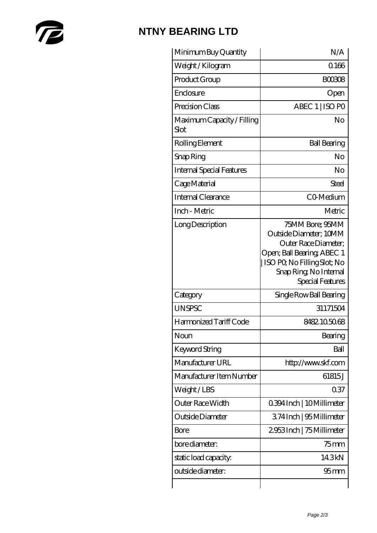

# **[NTNY BEARING LTD](https://m.abetteryeartoabetterlife.com)**

| Minimum Buy Quantity               | N/A                                                                                                                                                                         |
|------------------------------------|-----------------------------------------------------------------------------------------------------------------------------------------------------------------------------|
| Weight / Kilogram                  | 0.166                                                                                                                                                                       |
| Product Group                      | <b>BOO308</b>                                                                                                                                                               |
| Enclosure                          | Open                                                                                                                                                                        |
| Precision Class                    | ABEC 1   ISO PO                                                                                                                                                             |
| Maximum Capacity / Filling<br>Slot | No                                                                                                                                                                          |
| Rolling Element                    | <b>Ball Bearing</b>                                                                                                                                                         |
| Snap Ring                          | No                                                                                                                                                                          |
| <b>Internal Special Features</b>   | No                                                                                                                                                                          |
| Cage Material                      | <b>Steel</b>                                                                                                                                                                |
| Internal Clearance                 | CO-Medium                                                                                                                                                                   |
| Inch - Metric                      | Metric                                                                                                                                                                      |
| Long Description                   | 75MM Bore; 95MM<br>Outside Diameter; 10MM<br>Outer Race Diameter;<br>Open; Ball Bearing; ABEC 1<br>ISO PQ No Filling Slot; No<br>Snap Ring, No Internal<br>Special Features |
| Category                           | Single Row Ball Bearing                                                                                                                                                     |
| <b>UNSPSC</b>                      | 31171504                                                                                                                                                                    |
| Harmonized Tariff Code             | 8482.105068                                                                                                                                                                 |
| Noun                               | Bearing                                                                                                                                                                     |
| <b>Keyword String</b>              | Ball                                                                                                                                                                        |
| Manufacturer URL                   | http://www.skf.com                                                                                                                                                          |
| Manufacturer Item Number           | 61815J                                                                                                                                                                      |
| Weight/LBS                         | 037                                                                                                                                                                         |
| Outer Race Width                   | 0.394 Inch   10 Millimeter                                                                                                                                                  |
| Outside Diameter                   | 374Inch   95 Millimeter                                                                                                                                                     |
| Bore                               | 2953Inch   75 Millimeter                                                                                                                                                    |
| bore diameter:                     | $75$ mm                                                                                                                                                                     |
| static load capacity.              | 14.3kN                                                                                                                                                                      |
| outside diameter:                  | 95 <sub>mm</sub>                                                                                                                                                            |
|                                    |                                                                                                                                                                             |